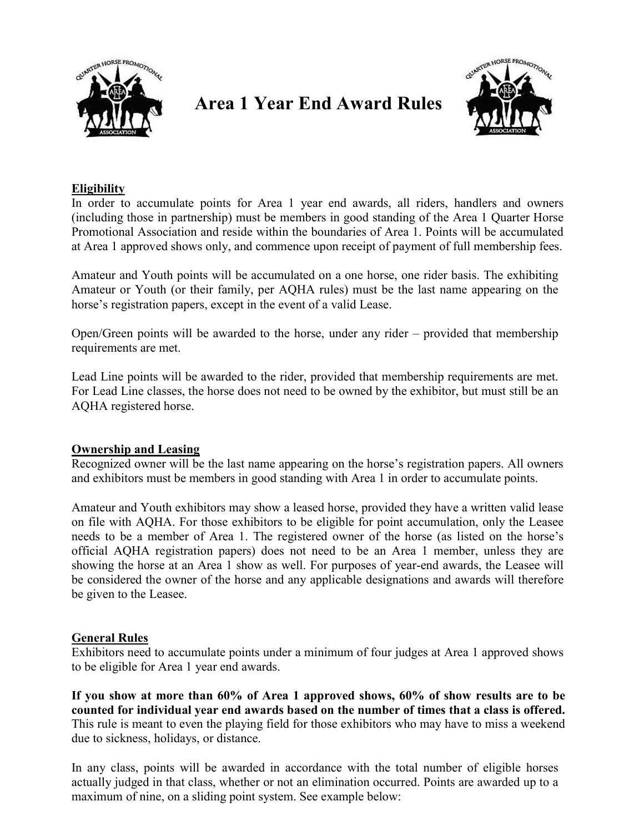

# Area 1 Year End Award Rules



### Eligibility

In order to accumulate points for Area 1 year end awards, all riders, handlers and owners (including those in partnership) must be members in good standing of the Area 1 Quarter Horse Promotional Association and reside within the boundaries of Area 1. Points will be accumulated at Area 1 approved shows only, and commence upon receipt of payment of full membership fees.

Amateur and Youth points will be accumulated on a one horse, one rider basis. The exhibiting Amateur or Youth (or their family, per AQHA rules) must be the last name appearing on the horse's registration papers, except in the event of a valid Lease.

Open/Green points will be awarded to the horse, under any rider – provided that membership requirements are met.

Lead Line points will be awarded to the rider, provided that membership requirements are met. For Lead Line classes, the horse does not need to be owned by the exhibitor, but must still be an AQHA registered horse.

#### Ownership and Leasing

Recognized owner will be the last name appearing on the horse's registration papers. All owners and exhibitors must be members in good standing with Area 1 in order to accumulate points.

Amateur and Youth exhibitors may show a leased horse, provided they have a written valid lease on file with AQHA. For those exhibitors to be eligible for point accumulation, only the Leasee needs to be a member of Area 1. The registered owner of the horse (as listed on the horse's official AQHA registration papers) does not need to be an Area 1 member, unless they are showing the horse at an Area 1 show as well. For purposes of year-end awards, the Leasee will be considered the owner of the horse and any applicable designations and awards will therefore be given to the Leasee.

# General Rules

Exhibitors need to accumulate points under a minimum of four judges at Area 1 approved shows to be eligible for Area 1 year end awards.

If you show at more than 60% of Area 1 approved shows, 60% of show results are to be counted for individual year end awards based on the number of times that a class is offered. This rule is meant to even the playing field for those exhibitors who may have to miss a weekend due to sickness, holidays, or distance.

In any class, points will be awarded in accordance with the total number of eligible horses actually judged in that class, whether or not an elimination occurred. Points are awarded up to a maximum of nine, on a sliding point system. See example below: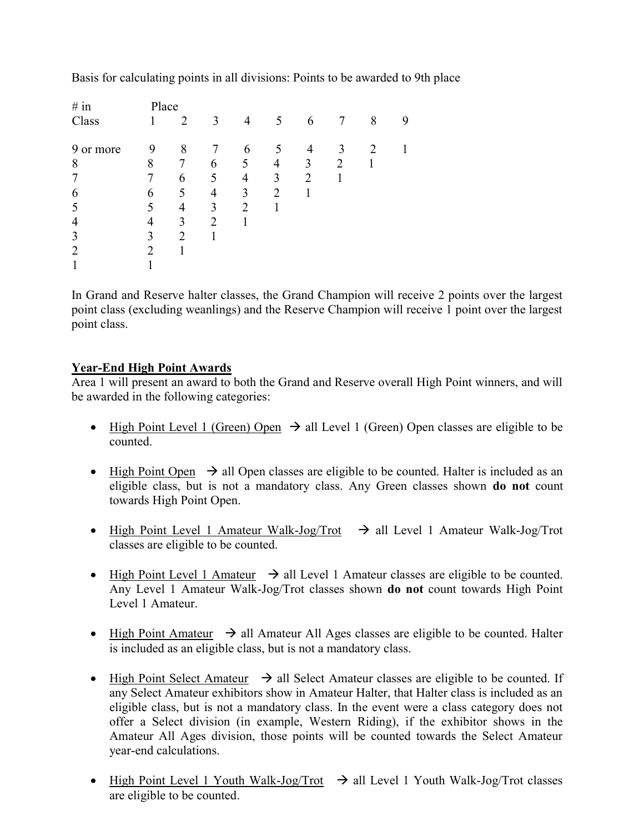| # in           | Place                       |                |   |                |                |                |   |   |   |  |  |
|----------------|-----------------------------|----------------|---|----------------|----------------|----------------|---|---|---|--|--|
| Class          |                             | $\overline{2}$ | 3 | $\overline{4}$ | 5              | 6              | 7 | 8 | 9 |  |  |
| 9 or more      | 9                           | 8              | 7 | 6              | 5              | 4              | 3 | 2 |   |  |  |
| 8              | 8                           | 7              | 6 | 5              | 4              | 3              | 2 |   |   |  |  |
| 7              | $\tau$                      | 6              | 5 | $\overline{4}$ | 3              | $\overline{2}$ |   |   |   |  |  |
| 6              | 6                           | 5              | 4 | 3              | $\overline{2}$ |                |   |   |   |  |  |
| 5              | 5                           | 4              | 3 | 2              |                |                |   |   |   |  |  |
| $\overline{4}$ | 4                           | 3              | 2 |                |                |                |   |   |   |  |  |
| 3              | 3                           | $\overline{2}$ |   |                |                |                |   |   |   |  |  |
| $\overline{2}$ | $\mathcal{D}_{\mathcal{L}}$ |                |   |                |                |                |   |   |   |  |  |
|                |                             |                |   |                |                |                |   |   |   |  |  |

Basis for calculating points in all divisions: Points to be awarded to 9th place

In Grand and Reserve halter classes, the Grand Champion will receive 2 points over the largest point class (excluding weanlings) and the Reserve Champion will receive 1 point over the largest point class.

## Year-End High Point Awards

Area 1 will present an award to both the Grand and Reserve overall High Point winners, and will be awarded in the following categories:

- $\bullet$  High Point Level 1 (Green) Open  $\rightarrow$  all Level 1 (Green) Open classes are eligible to be counted.
- $\bullet$  High Point Open  $\rightarrow$  all Open classes are eligible to be counted. Halter is included as an eligible class, but is not a mandatory class. Any Green classes shown do not count towards High Point Open.
- High Point Level 1 Amateur Walk-Jog/Trot  $\rightarrow$  all Level 1 Amateur Walk-Jog/Trot classes are eligible to be counted.
- $\bullet$  High Point Level 1 Amateur  $\rightarrow$  all Level 1 Amateur classes are eligible to be counted. Any Level 1 Amateur Walk-Jog/Trot classes shown do not count towards High Point Level 1 Amateur.
- High Point Amateur  $\rightarrow$  all Amateur All Ages classes are eligible to be counted. Halter is included as an eligible class, but is not a mandatory class.
- High Point Select Amateur  $\rightarrow$  all Select Amateur classes are eligible to be counted. If any Select Amateur exhibitors show in Amateur Halter, that Halter class is included as an eligible class, but is not a mandatory class. In the event were a class category does not offer a Select division (in example, Western Riding), if the exhibitor shows in the Amateur All Ages division, those points will be counted towards the Select Amateur year-end calculations.
- High Point Level 1 Youth Walk-Jog/Trot  $\rightarrow$  all Level 1 Youth Walk-Jog/Trot classes are eligible to be counted.